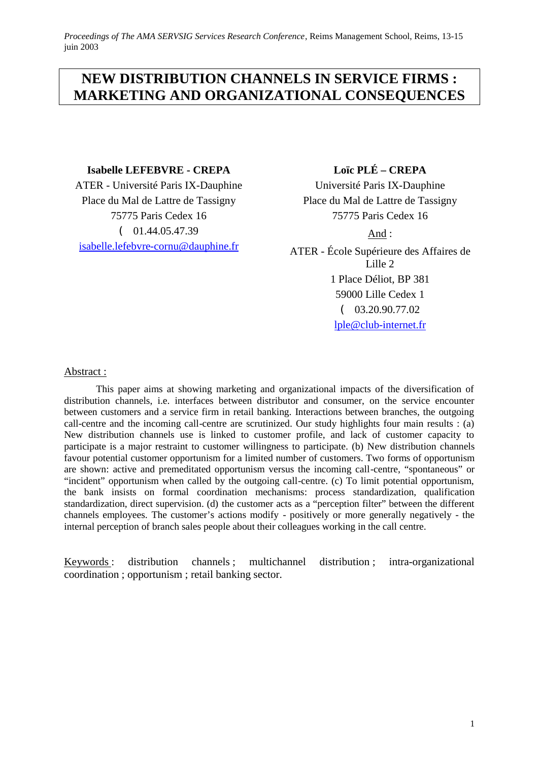# **NEW DISTRIBUTION CHANNELS IN SERVICE FIRMS : MARKETING AND ORGANIZATIONAL CONSEQUENCES**

## **Isabelle LEFEBVRE - CREPA**

ATER - Université Paris IX-Dauphine Place du Mal de Lattre de Tassigny 75775 Paris Cedex 16  $(01.44.05.47.39)$ isabelle.lefebvre-cornu@dauphine.fr

# **Loïc PLÉ – CREPA**

Université Paris IX-Dauphine Place du Mal de Lattre de Tassigny 75775 Paris Cedex 16

And :

ATER - École Supérieure des Affaires de Lille 2 1 Place Déliot, BP 381 59000 Lille Cedex 1 ( 03.20.90.77.02 lple@club-internet.fr

## Abstract :

This paper aims at showing marketing and organizational impacts of the diversification of distribution channels, i.e. interfaces between distributor and consumer, on the service encounter between customers and a service firm in retail banking. Interactions between branches, the outgoing call-centre and the incoming call-centre are scrutinized. Our study highlights four main results : (a) New distribution channels use is linked to customer profile, and lack of customer capacity to participate is a major restraint to customer willingness to participate. (b) New distribution channels favour potential customer opportunism for a limited number of customers. Two forms of opportunism are shown: active and premeditated opportunism versus the incoming call-centre, "spontaneous" or "incident" opportunism when called by the outgoing call-centre. (c) To limit potential opportunism, the bank insists on formal coordination mechanisms: process standardization, qualification standardization, direct supervision. (d) the customer acts as a "perception filter" between the different channels employees. The customer's actions modify - positively or more generally negatively - the internal perception of branch sales people about their colleagues working in the call centre.

Keywords : distribution channels ; multichannel distribution ; intra-organizational coordination ; opportunism ; retail banking sector.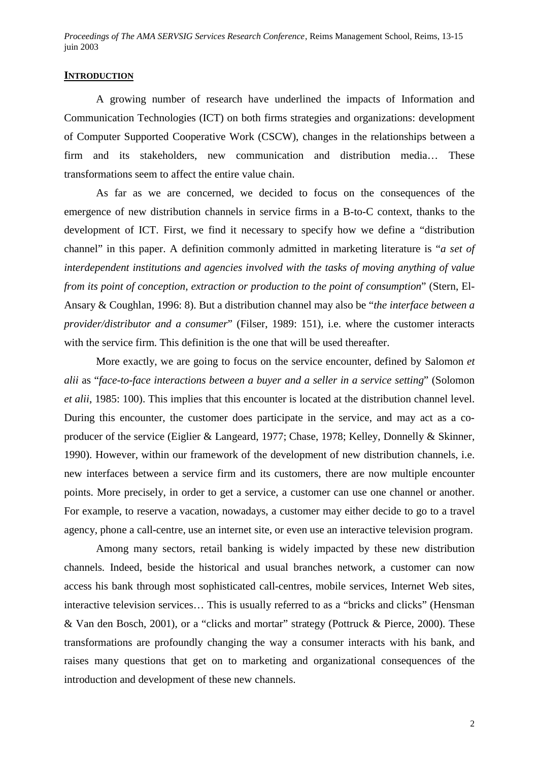#### **INTRODUCTION**

A growing number of research have underlined the impacts of Information and Communication Technologies (ICT) on both firms strategies and organizations: development of Computer Supported Cooperative Work (CSCW), changes in the relationships between a firm and its stakeholders, new communication and distribution media… These transformations seem to affect the entire value chain.

As far as we are concerned, we decided to focus on the consequences of the emergence of new distribution channels in service firms in a B-to-C context, thanks to the development of ICT. First, we find it necessary to specify how we define a "distribution channel" in this paper. A definition commonly admitted in marketing literature is "*a set of interdependent institutions and agencies involved with the tasks of moving anything of value from its point of conception, extraction or production to the point of consumption*" (Stern, El-Ansary & Coughlan, 1996: 8). But a distribution channel may also be "*the interface between a provider/distributor and a consumer*" (Filser, 1989: 151), i.e. where the customer interacts with the service firm. This definition is the one that will be used thereafter.

More exactly, we are going to focus on the service encounter, defined by Salomon *et alii* as "*face-to-face interactions between a buyer and a seller in a service setting*" (Solomon *et alii*, 1985: 100). This implies that this encounter is located at the distribution channel level. During this encounter, the customer does participate in the service, and may act as a coproducer of the service (Eiglier & Langeard, 1977; Chase, 1978; Kelley, Donnelly & Skinner, 1990). However, within our framework of the development of new distribution channels, i.e. new interfaces between a service firm and its customers, there are now multiple encounter points. More precisely, in order to get a service, a customer can use one channel or another. For example, to reserve a vacation, nowadays, a customer may either decide to go to a travel agency, phone a call-centre, use an internet site, or even use an interactive television program.

Among many sectors, retail banking is widely impacted by these new distribution channels. Indeed, beside the historical and usual branches network, a customer can now access his bank through most sophisticated call-centres, mobile services, Internet Web sites, interactive television services… This is usually referred to as a "bricks and clicks" (Hensman & Van den Bosch, 2001), or a "clicks and mortar" strategy (Pottruck & Pierce, 2000). These transformations are profoundly changing the way a consumer interacts with his bank, and raises many questions that get on to marketing and organizational consequences of the introduction and development of these new channels.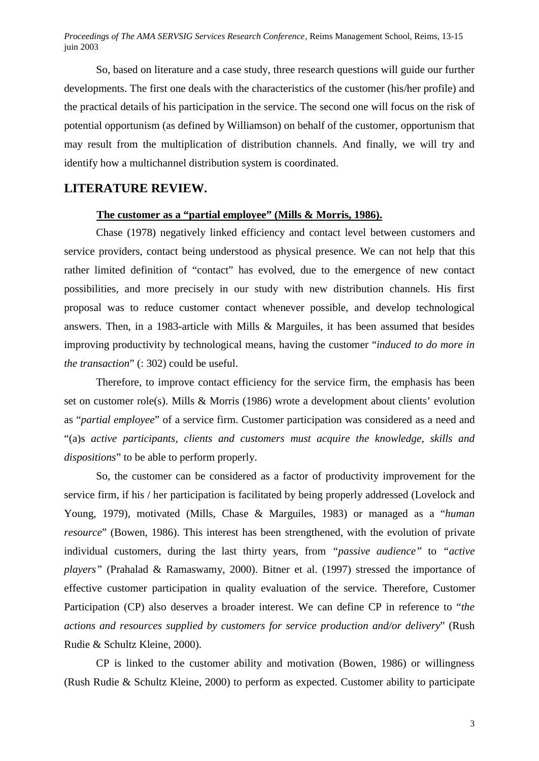So, based on literature and a case study, three research questions will guide our further developments. The first one deals with the characteristics of the customer (his/her profile) and the practical details of his participation in the service. The second one will focus on the risk of potential opportunism (as defined by Williamson) on behalf of the customer, opportunism that may result from the multiplication of distribution channels. And finally, we will try and identify how a multichannel distribution system is coordinated.

## **LITERATURE REVIEW.**

## **The customer as a "partial employee" (Mills & Morris, 1986).**

Chase (1978) negatively linked efficiency and contact level between customers and service providers, contact being understood as physical presence. We can not help that this rather limited definition of "contact" has evolved, due to the emergence of new contact possibilities, and more precisely in our study with new distribution channels. His first proposal was to reduce customer contact whenever possible, and develop technological answers. Then, in a 1983-article with Mills & Marguiles, it has been assumed that besides improving productivity by technological means, having the customer "*induced to do more in the transaction*" (: 302) could be useful.

Therefore, to improve contact efficiency for the service firm, the emphasis has been set on customer role(s). Mills & Morris (1986) wrote a development about clients' evolution as "*partial employee*" of a service firm. Customer participation was considered as a need and "(a)s *active participants, clients and customers must acquire the knowledge, skills and dispositions*" to be able to perform properly.

So, the customer can be considered as a factor of productivity improvement for the service firm, if his / her participation is facilitated by being properly addressed (Lovelock and Young, 1979), motivated (Mills, Chase & Marguiles, 1983) or managed as a "*human resource*" (Bowen, 1986). This interest has been strengthened, with the evolution of private individual customers, during the last thirty years, from *"passive audience"* to *"active players"* (Prahalad & Ramaswamy, 2000). Bitner et al. (1997) stressed the importance of effective customer participation in quality evaluation of the service. Therefore, Customer Participation (CP) also deserves a broader interest. We can define CP in reference to "*the actions and resources supplied by customers for service production and/or delivery*" (Rush Rudie & Schultz Kleine, 2000).

CP is linked to the customer ability and motivation (Bowen, 1986) or willingness (Rush Rudie & Schultz Kleine, 2000) to perform as expected. Customer ability to participate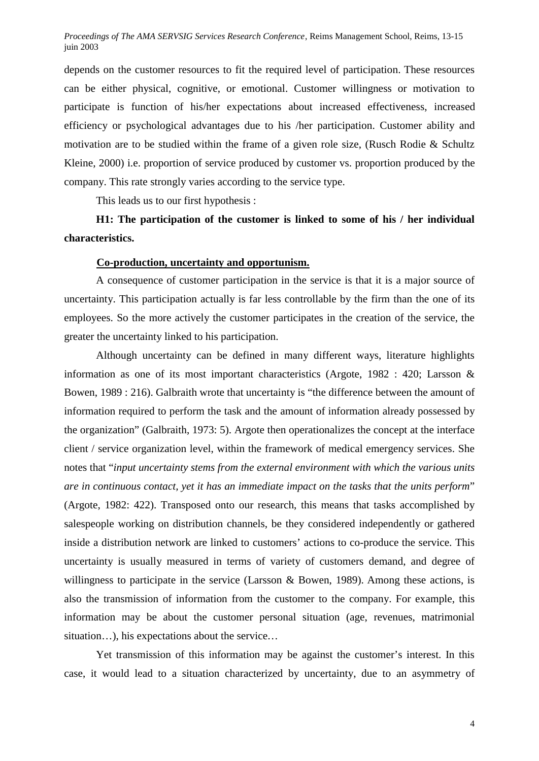depends on the customer resources to fit the required level of participation. These resources can be either physical, cognitive, or emotional. Customer willingness or motivation to participate is function of his/her expectations about increased effectiveness, increased efficiency or psychological advantages due to his /her participation. Customer ability and motivation are to be studied within the frame of a given role size, (Rusch Rodie & Schultz Kleine, 2000) i.e. proportion of service produced by customer vs. proportion produced by the company. This rate strongly varies according to the service type.

This leads us to our first hypothesis :

**H1: The participation of the customer is linked to some of his / her individual characteristics.**

## **Co-production, uncertainty and opportunism.**

A consequence of customer participation in the service is that it is a major source of uncertainty. This participation actually is far less controllable by the firm than the one of its employees. So the more actively the customer participates in the creation of the service, the greater the uncertainty linked to his participation.

Although uncertainty can be defined in many different ways, literature highlights information as one of its most important characteristics (Argote, 1982 : 420; Larsson & Bowen, 1989 : 216). Galbraith wrote that uncertainty is "the difference between the amount of information required to perform the task and the amount of information already possessed by the organization" (Galbraith, 1973: 5). Argote then operationalizes the concept at the interface client / service organization level, within the framework of medical emergency services. She notes that "*input uncertainty stems from the external environment with which the various units are in continuous contact, yet it has an immediate impact on the tasks that the units perform*" (Argote, 1982: 422). Transposed onto our research, this means that tasks accomplished by salespeople working on distribution channels, be they considered independently or gathered inside a distribution network are linked to customers' actions to co-produce the service. This uncertainty is usually measured in terms of variety of customers demand, and degree of willingness to participate in the service (Larsson & Bowen, 1989). Among these actions, is also the transmission of information from the customer to the company. For example, this information may be about the customer personal situation (age, revenues, matrimonial situation...), his expectations about the service...

Yet transmission of this information may be against the customer's interest. In this case, it would lead to a situation characterized by uncertainty, due to an asymmetry of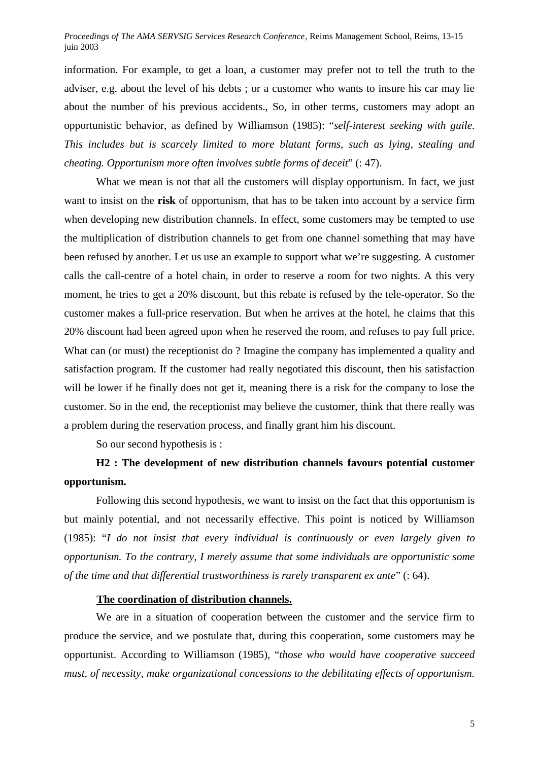information. For example, to get a loan, a customer may prefer not to tell the truth to the adviser, e.g. about the level of his debts ; or a customer who wants to insure his car may lie about the number of his previous accidents., So, in other terms, customers may adopt an opportunistic behavior, as defined by Williamson (1985): "*self-interest seeking with guile. This includes but is scarcely limited to more blatant forms, such as lying, stealing and cheating. Opportunism more often involves subtle forms of deceit*" (: 47).

What we mean is not that all the customers will display opportunism. In fact, we just want to insist on the **risk** of opportunism, that has to be taken into account by a service firm when developing new distribution channels. In effect, some customers may be tempted to use the multiplication of distribution channels to get from one channel something that may have been refused by another. Let us use an example to support what we're suggesting. A customer calls the call-centre of a hotel chain, in order to reserve a room for two nights. A this very moment, he tries to get a 20% discount, but this rebate is refused by the tele-operator. So the customer makes a full-price reservation. But when he arrives at the hotel, he claims that this 20% discount had been agreed upon when he reserved the room, and refuses to pay full price. What can (or must) the receptionist do ? Imagine the company has implemented a quality and satisfaction program. If the customer had really negotiated this discount, then his satisfaction will be lower if he finally does not get it, meaning there is a risk for the company to lose the customer. So in the end, the receptionist may believe the customer, think that there really was a problem during the reservation process, and finally grant him his discount.

So our second hypothesis is :

# **H2 : The development of new distribution channels favours potential customer opportunism.**

Following this second hypothesis, we want to insist on the fact that this opportunism is but mainly potential, and not necessarily effective. This point is noticed by Williamson (1985): "*I do not insist that every individual is continuously or even largely given to opportunism. To the contrary, I merely assume that some individuals are opportunistic some of the time and that differential trustworthiness is rarely transparent ex ante*" (: 64).

#### **The coordination of distribution channels.**

We are in a situation of cooperation between the customer and the service firm to produce the service, and we postulate that, during this cooperation, some customers may be opportunist. According to Williamson (1985), "*those who would have cooperative succeed must, of necessity, make organizational concessions to the debilitating effects of opportunism.*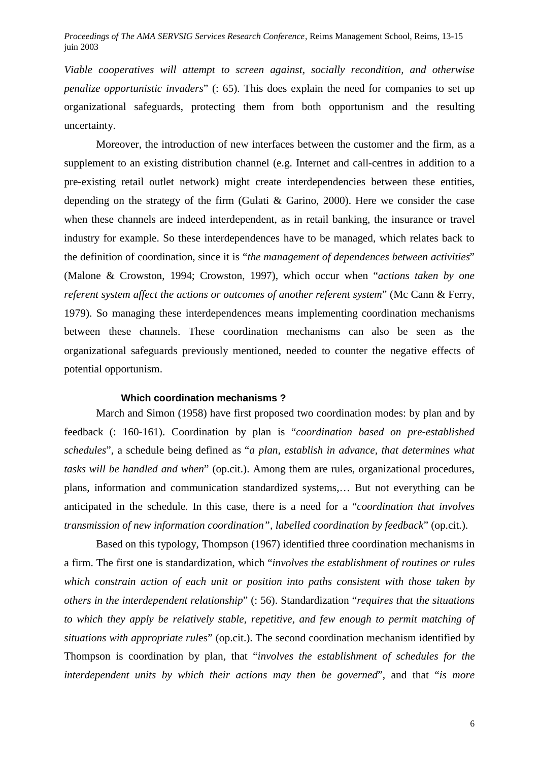*Viable cooperatives will attempt to screen against, socially recondition, and otherwise penalize opportunistic invaders*" (: 65). This does explain the need for companies to set up organizational safeguards, protecting them from both opportunism and the resulting uncertainty.

Moreover, the introduction of new interfaces between the customer and the firm, as a supplement to an existing distribution channel (e.g. Internet and call-centres in addition to a pre-existing retail outlet network) might create interdependencies between these entities, depending on the strategy of the firm (Gulati & Garino, 2000). Here we consider the case when these channels are indeed interdependent, as in retail banking, the insurance or travel industry for example. So these interdependences have to be managed, which relates back to the definition of coordination, since it is "*the management of dependences between activities*" (Malone & Crowston, 1994; Crowston, 1997), which occur when "*actions taken by one referent system affect the actions or outcomes of another referent system*" (Mc Cann & Ferry, 1979). So managing these interdependences means implementing coordination mechanisms between these channels. These coordination mechanisms can also be seen as the organizational safeguards previously mentioned, needed to counter the negative effects of potential opportunism.

#### **Which coordination mechanisms ?**

March and Simon (1958) have first proposed two coordination modes: by plan and by feedback (: 160-161). Coordination by plan is "*coordination based on pre-established schedules*", a schedule being defined as "*a plan, establish in advance, that determines what tasks will be handled and when*" (op.cit.). Among them are rules, organizational procedures, plans, information and communication standardized systems,… But not everything can be anticipated in the schedule. In this case, there is a need for a "*coordination that involves transmission of new information coordination", labelled coordination by feedback*" (op.cit.).

Based on this typology, Thompson (1967) identified three coordination mechanisms in a firm. The first one is standardization, which "*involves the establishment of routines or rules which constrain action of each unit or position into paths consistent with those taken by others in the interdependent relationship*" (: 56). Standardization "*requires that the situations to which they apply be relatively stable, repetitive, and few enough to permit matching of situations with appropriate rul*es" (op.cit.). The second coordination mechanism identified by Thompson is coordination by plan, that "*involves the establishment of schedules for the interdependent units by which their actions may then be governed*", and that "*is more*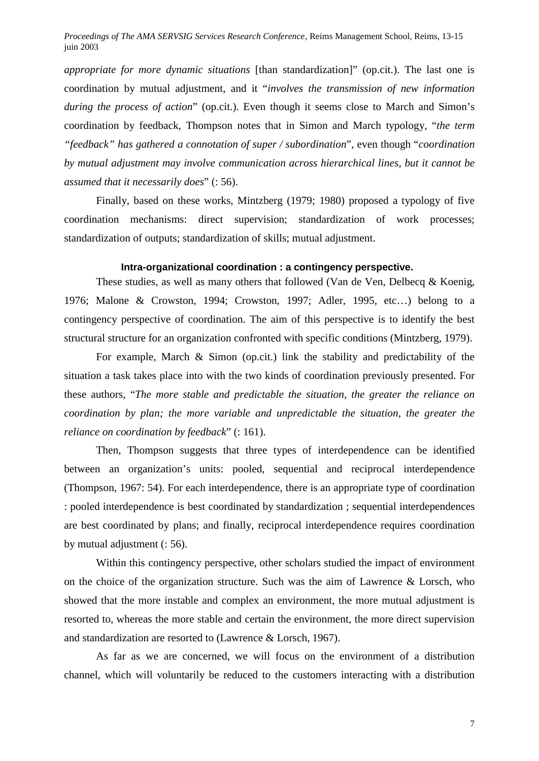*appropriate for more dynamic situations* [than standardization]" (op.cit.). The last one is coordination by mutual adjustment, and it "*involves the transmission of new information during the process of action*" (op.cit.). Even though it seems close to March and Simon's coordination by feedback, Thompson notes that in Simon and March typology, "*the term "feedback" has gathered a connotation of super / subordination*", even though "*coordination by mutual adjustment may involve communication across hierarchical lines, but it cannot be assumed that it necessarily does*" (: 56).

Finally, based on these works, Mintzberg (1979; 1980) proposed a typology of five coordination mechanisms: direct supervision; standardization of work processes; standardization of outputs; standardization of skills; mutual adjustment.

#### **Intra-organizational coordination : a contingency perspective.**

These studies, as well as many others that followed (Van de Ven, Delbecq & Koenig, 1976; Malone & Crowston, 1994; Crowston, 1997; Adler, 1995, etc…) belong to a contingency perspective of coordination. The aim of this perspective is to identify the best structural structure for an organization confronted with specific conditions (Mintzberg, 1979).

For example, March & Simon (op.cit.) link the stability and predictability of the situation a task takes place into with the two kinds of coordination previously presented. For these authors, "*The more stable and predictable the situation, the greater the reliance on coordination by plan; the more variable and unpredictable the situation, the greater the reliance on coordination by feedback*" (: 161).

Then, Thompson suggests that three types of interdependence can be identified between an organization's units: pooled, sequential and reciprocal interdependence (Thompson, 1967: 54). For each interdependence, there is an appropriate type of coordination : pooled interdependence is best coordinated by standardization ; sequential interdependences are best coordinated by plans; and finally, reciprocal interdependence requires coordination by mutual adjustment (: 56).

Within this contingency perspective, other scholars studied the impact of environment on the choice of the organization structure. Such was the aim of Lawrence & Lorsch, who showed that the more instable and complex an environment, the more mutual adjustment is resorted to, whereas the more stable and certain the environment, the more direct supervision and standardization are resorted to (Lawrence & Lorsch, 1967).

As far as we are concerned, we will focus on the environment of a distribution channel, which will voluntarily be reduced to the customers interacting with a distribution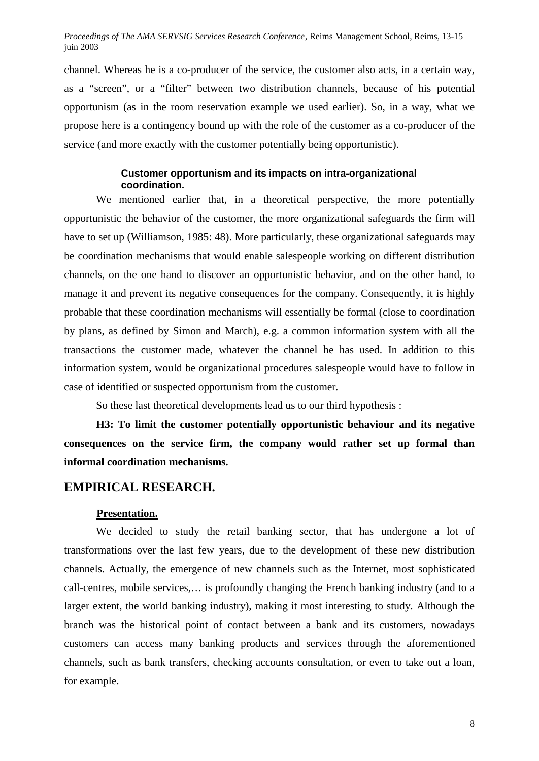channel. Whereas he is a co-producer of the service, the customer also acts, in a certain way, as a "screen", or a "filter" between two distribution channels, because of his potential opportunism (as in the room reservation example we used earlier). So, in a way, what we propose here is a contingency bound up with the role of the customer as a co-producer of the service (and more exactly with the customer potentially being opportunistic).

## **Customer opportunism and its impacts on intra-organizational coordination.**

We mentioned earlier that, in a theoretical perspective, the more potentially opportunistic the behavior of the customer, the more organizational safeguards the firm will have to set up (Williamson, 1985: 48). More particularly, these organizational safeguards may be coordination mechanisms that would enable salespeople working on different distribution channels, on the one hand to discover an opportunistic behavior, and on the other hand, to manage it and prevent its negative consequences for the company. Consequently, it is highly probable that these coordination mechanisms will essentially be formal (close to coordination by plans, as defined by Simon and March), e.g. a common information system with all the transactions the customer made, whatever the channel he has used. In addition to this information system, would be organizational procedures salespeople would have to follow in case of identified or suspected opportunism from the customer.

So these last theoretical developments lead us to our third hypothesis :

**H3: To limit the customer potentially opportunistic behaviour and its negative consequences on the service firm, the company would rather set up formal than informal coordination mechanisms.**

# **EMPIRICAL RESEARCH.**

## **Presentation.**

We decided to study the retail banking sector, that has undergone a lot of transformations over the last few years, due to the development of these new distribution channels. Actually, the emergence of new channels such as the Internet, most sophisticated call-centres, mobile services,… is profoundly changing the French banking industry (and to a larger extent, the world banking industry), making it most interesting to study. Although the branch was the historical point of contact between a bank and its customers, nowadays customers can access many banking products and services through the aforementioned channels, such as bank transfers, checking accounts consultation, or even to take out a loan, for example.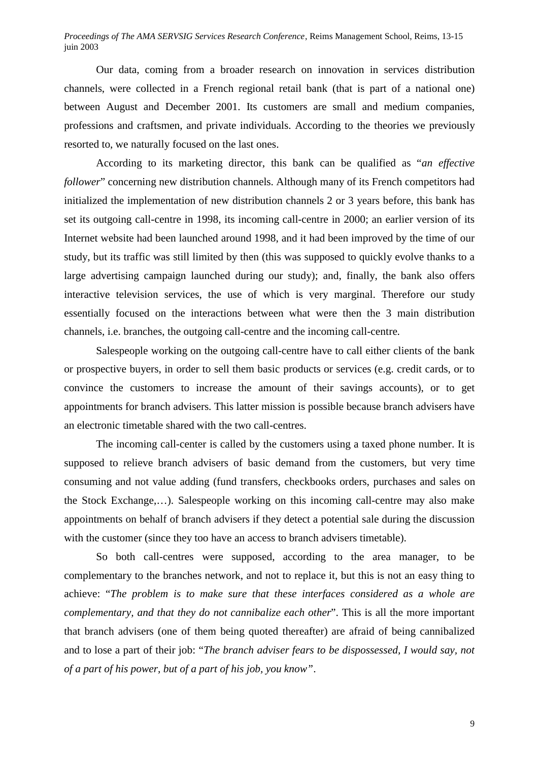Our data, coming from a broader research on innovation in services distribution channels, were collected in a French regional retail bank (that is part of a national one) between August and December 2001. Its customers are small and medium companies, professions and craftsmen, and private individuals. According to the theories we previously resorted to, we naturally focused on the last ones.

According to its marketing director, this bank can be qualified as "*an effective follower*" concerning new distribution channels. Although many of its French competitors had initialized the implementation of new distribution channels 2 or 3 years before, this bank has set its outgoing call-centre in 1998, its incoming call-centre in 2000; an earlier version of its Internet website had been launched around 1998, and it had been improved by the time of our study, but its traffic was still limited by then (this was supposed to quickly evolve thanks to a large advertising campaign launched during our study); and, finally, the bank also offers interactive television services, the use of which is very marginal. Therefore our study essentially focused on the interactions between what were then the 3 main distribution channels, i.e. branches, the outgoing call-centre and the incoming call-centre.

Salespeople working on the outgoing call-centre have to call either clients of the bank or prospective buyers, in order to sell them basic products or services (e.g. credit cards, or to convince the customers to increase the amount of their savings accounts), or to get appointments for branch advisers. This latter mission is possible because branch advisers have an electronic timetable shared with the two call-centres.

The incoming call-center is called by the customers using a taxed phone number. It is supposed to relieve branch advisers of basic demand from the customers, but very time consuming and not value adding (fund transfers, checkbooks orders, purchases and sales on the Stock Exchange,…). Salespeople working on this incoming call-centre may also make appointments on behalf of branch advisers if they detect a potential sale during the discussion with the customer (since they too have an access to branch advisers timetable).

So both call-centres were supposed, according to the area manager, to be complementary to the branches network, and not to replace it, but this is not an easy thing to achieve: "*The problem is to make sure that these interfaces considered as a whole are complementary, and that they do not cannibalize each other*". This is all the more important that branch advisers (one of them being quoted thereafter) are afraid of being cannibalized and to lose a part of their job: "*The branch adviser fears to be dispossessed, I would say, not of a part of his power, but of a part of his job, you know"*.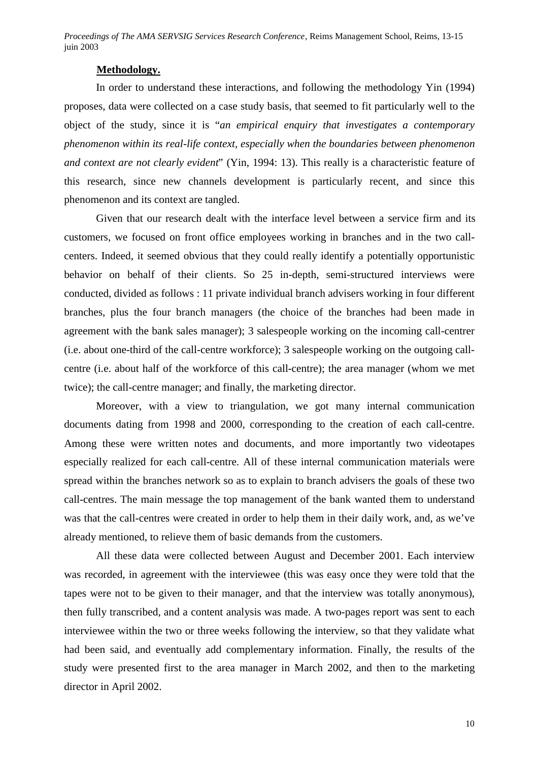#### **Methodology.**

In order to understand these interactions, and following the methodology Yin (1994) proposes, data were collected on a case study basis, that seemed to fit particularly well to the object of the study, since it is "*an empirical enquiry that investigates a contemporary phenomenon within its real-life context, especially when the boundaries between phenomenon and context are not clearly evident*" (Yin, 1994: 13). This really is a characteristic feature of this research, since new channels development is particularly recent, and since this phenomenon and its context are tangled.

Given that our research dealt with the interface level between a service firm and its customers, we focused on front office employees working in branches and in the two callcenters. Indeed, it seemed obvious that they could really identify a potentially opportunistic behavior on behalf of their clients. So 25 in-depth, semi-structured interviews were conducted, divided as follows : 11 private individual branch advisers working in four different branches, plus the four branch managers (the choice of the branches had been made in agreement with the bank sales manager); 3 salespeople working on the incoming call-centrer (i.e. about one-third of the call-centre workforce); 3 salespeople working on the outgoing callcentre (i.e. about half of the workforce of this call-centre); the area manager (whom we met twice); the call-centre manager; and finally, the marketing director.

Moreover, with a view to triangulation, we got many internal communication documents dating from 1998 and 2000, corresponding to the creation of each call-centre. Among these were written notes and documents, and more importantly two videotapes especially realized for each call-centre. All of these internal communication materials were spread within the branches network so as to explain to branch advisers the goals of these two call-centres. The main message the top management of the bank wanted them to understand was that the call-centres were created in order to help them in their daily work, and, as we've already mentioned, to relieve them of basic demands from the customers.

All these data were collected between August and December 2001. Each interview was recorded, in agreement with the interviewee (this was easy once they were told that the tapes were not to be given to their manager, and that the interview was totally anonymous), then fully transcribed, and a content analysis was made. A two-pages report was sent to each interviewee within the two or three weeks following the interview, so that they validate what had been said, and eventually add complementary information. Finally, the results of the study were presented first to the area manager in March 2002, and then to the marketing director in April 2002.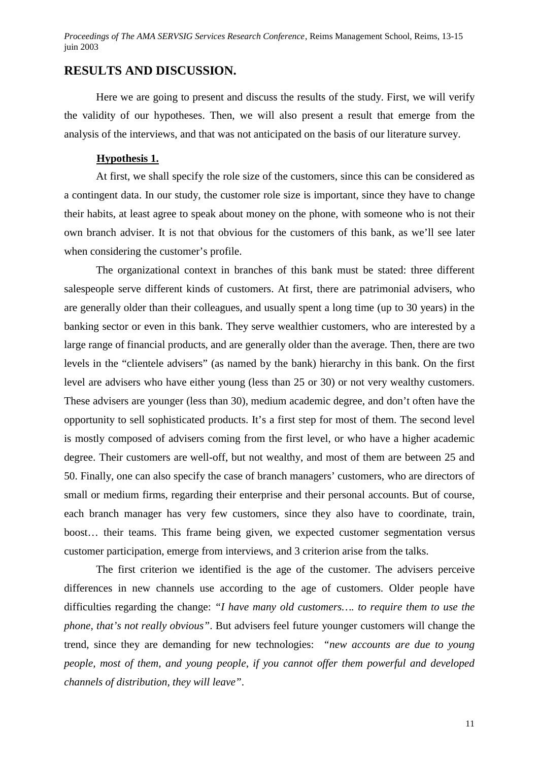## **RESULTS AND DISCUSSION.**

Here we are going to present and discuss the results of the study. First, we will verify the validity of our hypotheses. Then, we will also present a result that emerge from the analysis of the interviews, and that was not anticipated on the basis of our literature survey.

#### **Hypothesis 1.**

At first, we shall specify the role size of the customers, since this can be considered as a contingent data. In our study, the customer role size is important, since they have to change their habits, at least agree to speak about money on the phone, with someone who is not their own branch adviser. It is not that obvious for the customers of this bank, as we'll see later when considering the customer's profile.

The organizational context in branches of this bank must be stated: three different salespeople serve different kinds of customers. At first, there are patrimonial advisers, who are generally older than their colleagues, and usually spent a long time (up to 30 years) in the banking sector or even in this bank. They serve wealthier customers, who are interested by a large range of financial products, and are generally older than the average. Then, there are two levels in the "clientele advisers" (as named by the bank) hierarchy in this bank. On the first level are advisers who have either young (less than 25 or 30) or not very wealthy customers. These advisers are younger (less than 30), medium academic degree, and don't often have the opportunity to sell sophisticated products. It's a first step for most of them. The second level is mostly composed of advisers coming from the first level, or who have a higher academic degree. Their customers are well-off, but not wealthy, and most of them are between 25 and 50. Finally, one can also specify the case of branch managers' customers, who are directors of small or medium firms, regarding their enterprise and their personal accounts. But of course, each branch manager has very few customers, since they also have to coordinate, train, boost… their teams. This frame being given, we expected customer segmentation versus customer participation, emerge from interviews, and 3 criterion arise from the talks.

The first criterion we identified is the age of the customer. The advisers perceive differences in new channels use according to the age of customers. Older people have difficulties regarding the change: *"I have many old customers…. to require them to use the phone, that's not really obvious"*. But advisers feel future younger customers will change the trend, since they are demanding for new technologies: *"new accounts are due to young people, most of them, and young people, if you cannot offer them powerful and developed channels of distribution, they will leave"*.

11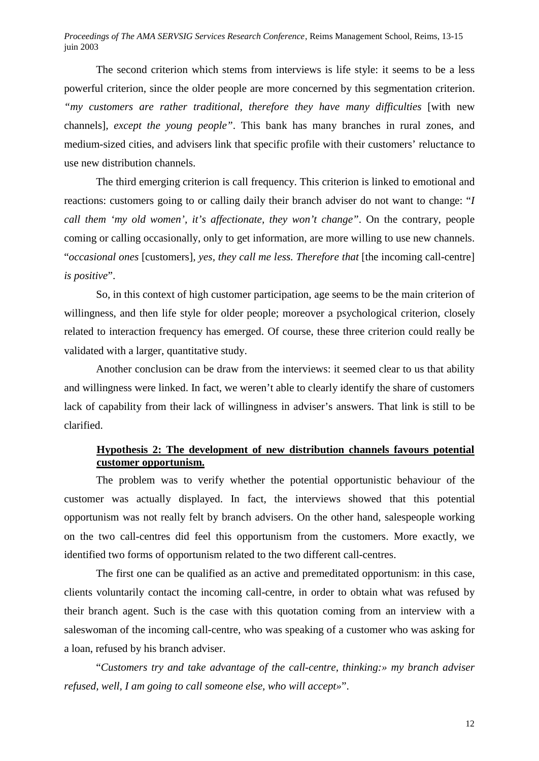The second criterion which stems from interviews is life style: it seems to be a less powerful criterion, since the older people are more concerned by this segmentation criterion. *"my customers are rather traditional, therefore they have many difficulties* [with new channels]*, except the young people"*. This bank has many branches in rural zones, and medium-sized cities, and advisers link that specific profile with their customers' reluctance to use new distribution channels.

The third emerging criterion is call frequency. This criterion is linked to emotional and reactions: customers going to or calling daily their branch adviser do not want to change: "*I call them 'my old women', it's affectionate, they won't change"*. On the contrary, people coming or calling occasionally, only to get information, are more willing to use new channels. "*occasional ones* [customers]*, yes, they call me less. Therefore that* [the incoming call-centre] *is positive*".

So, in this context of high customer participation, age seems to be the main criterion of willingness, and then life style for older people; moreover a psychological criterion, closely related to interaction frequency has emerged. Of course, these three criterion could really be validated with a larger, quantitative study.

Another conclusion can be draw from the interviews: it seemed clear to us that ability and willingness were linked. In fact, we weren't able to clearly identify the share of customers lack of capability from their lack of willingness in adviser's answers. That link is still to be clarified.

# **Hypothesis 2: The development of new distribution channels favours potential customer opportunism.**

The problem was to verify whether the potential opportunistic behaviour of the customer was actually displayed. In fact, the interviews showed that this potential opportunism was not really felt by branch advisers. On the other hand, salespeople working on the two call-centres did feel this opportunism from the customers. More exactly, we identified two forms of opportunism related to the two different call-centres.

The first one can be qualified as an active and premeditated opportunism: in this case, clients voluntarily contact the incoming call-centre, in order to obtain what was refused by their branch agent. Such is the case with this quotation coming from an interview with a saleswoman of the incoming call-centre, who was speaking of a customer who was asking for a loan, refused by his branch adviser.

"*Customers try and take advantage of the call-centre, thinking:» my branch adviser refused, well, I am going to call someone else, who will accept»*".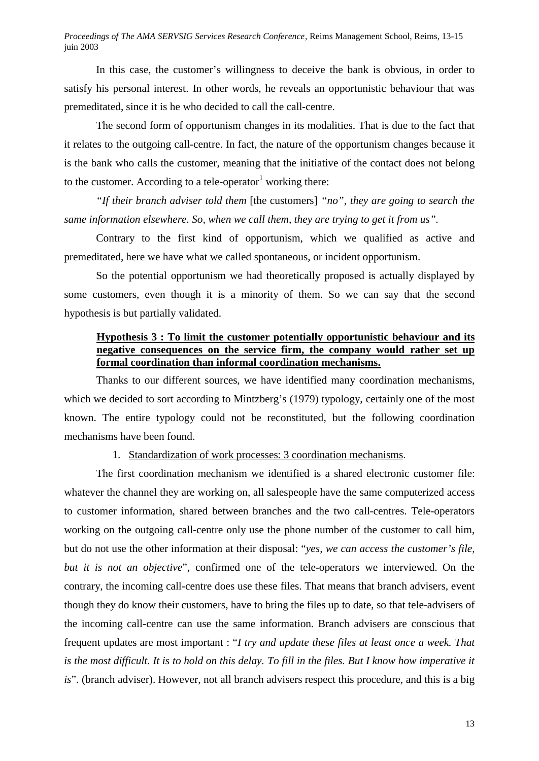In this case, the customer's willingness to deceive the bank is obvious, in order to satisfy his personal interest. In other words, he reveals an opportunistic behaviour that was premeditated, since it is he who decided to call the call-centre.

The second form of opportunism changes in its modalities. That is due to the fact that it relates to the outgoing call-centre. In fact, the nature of the opportunism changes because it is the bank who calls the customer, meaning that the initiative of the contact does not belong to the customer. According to a tele-operator working there:

*"If their branch adviser told them* [the customers] *"no", they are going to search the same information elsewhere. So, when we call them, they are trying to get it from us".*

Contrary to the first kind of opportunism, which we qualified as active and premeditated, here we have what we called spontaneous, or incident opportunism.

So the potential opportunism we had theoretically proposed is actually displayed by some customers, even though it is a minority of them. So we can say that the second hypothesis is but partially validated.

# **Hypothesis 3 : To limit the customer potentially opportunistic behaviour and its negative consequences on the service firm, the company would rather set up formal coordination than informal coordination mechanisms.**

Thanks to our different sources, we have identified many coordination mechanisms, which we decided to sort according to Mintzberg's (1979) typology, certainly one of the most known. The entire typology could not be reconstituted, but the following coordination mechanisms have been found.

# 1. Standardization of work processes: 3 coordination mechanisms.

The first coordination mechanism we identified is a shared electronic customer file: whatever the channel they are working on, all salespeople have the same computerized access to customer information, shared between branches and the two call-centres. Tele-operators working on the outgoing call-centre only use the phone number of the customer to call him, but do not use the other information at their disposal: "*yes, we can access the customer's file, but it is not an objective*", confirmed one of the tele-operators we interviewed. On the contrary, the incoming call-centre does use these files. That means that branch advisers, event though they do know their customers, have to bring the files up to date, so that tele-advisers of the incoming call-centre can use the same information. Branch advisers are conscious that frequent updates are most important : "*I try and update these files at least once a week. That*  is the most difficult. It is to hold on this delay. To fill in the files. But I know how imperative it *is*". (branch adviser). However, not all branch advisers respect this procedure, and this is a big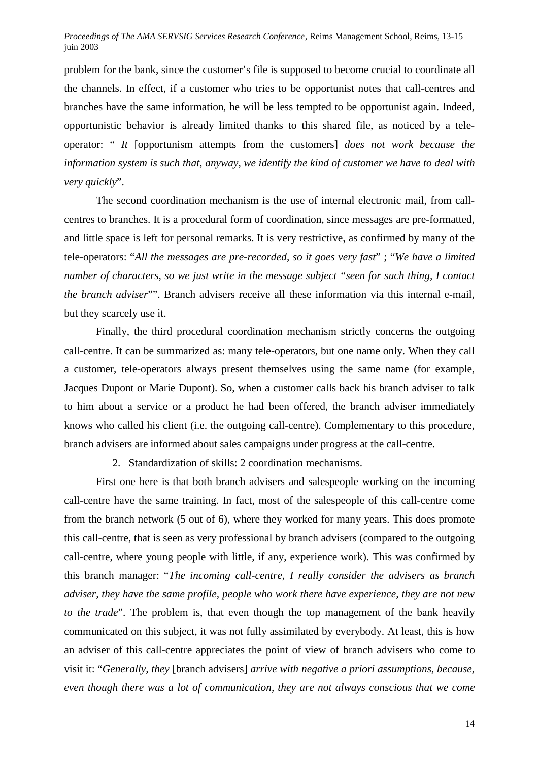problem for the bank, since the customer's file is supposed to become crucial to coordinate all the channels. In effect, if a customer who tries to be opportunist notes that call-centres and branches have the same information, he will be less tempted to be opportunist again. Indeed, opportunistic behavior is already limited thanks to this shared file, as noticed by a teleoperator: " *It* [opportunism attempts from the customers] *does not work because the information system is such that, anyway, we identify the kind of customer we have to deal with very quickly*".

The second coordination mechanism is the use of internal electronic mail, from callcentres to branches. It is a procedural form of coordination, since messages are pre-formatted, and little space is left for personal remarks. It is very restrictive, as confirmed by many of the tele-operators: "*All the messages are pre-recorded, so it goes very fast*" ; "*We have a limited number of characters, so we just write in the message subject "seen for such thing, I contact the branch adviser*"". Branch advisers receive all these information via this internal e-mail, but they scarcely use it.

Finally, the third procedural coordination mechanism strictly concerns the outgoing call-centre. It can be summarized as: many tele-operators, but one name only. When they call a customer, tele-operators always present themselves using the same name (for example, Jacques Dupont or Marie Dupont). So, when a customer calls back his branch adviser to talk to him about a service or a product he had been offered, the branch adviser immediately knows who called his client (i.e. the outgoing call-centre). Complementary to this procedure, branch advisers are informed about sales campaigns under progress at the call-centre.

2. Standardization of skills: 2 coordination mechanisms.

First one here is that both branch advisers and salespeople working on the incoming call-centre have the same training. In fact, most of the salespeople of this call-centre come from the branch network (5 out of 6), where they worked for many years. This does promote this call-centre, that is seen as very professional by branch advisers (compared to the outgoing call-centre, where young people with little, if any, experience work). This was confirmed by this branch manager: "*The incoming call-centre, I really consider the advisers as branch adviser, they have the same profile, people who work there have experience, they are not new to the trade*". The problem is, that even though the top management of the bank heavily communicated on this subject, it was not fully assimilated by everybody. At least, this is how an adviser of this call-centre appreciates the point of view of branch advisers who come to visit it: "*Generally, they* [branch advisers] *arrive with negative a priori assumptions, because, even though there was a lot of communication, they are not always conscious that we come*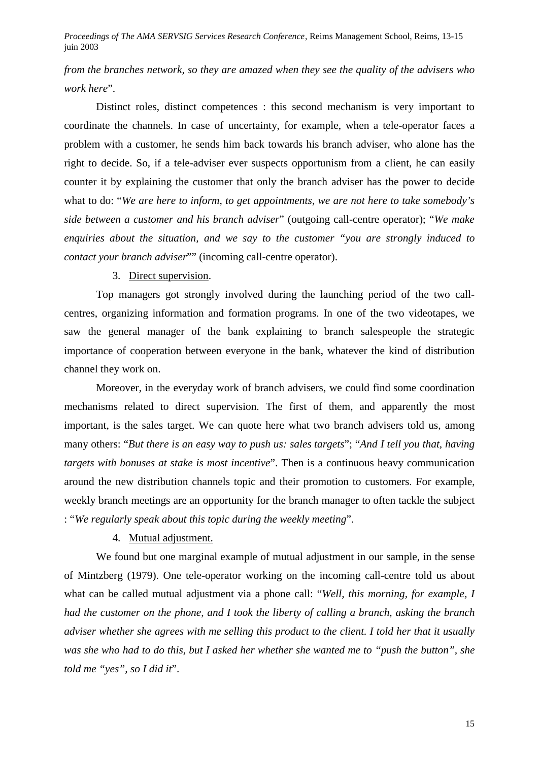*from the branches network, so they are amazed when they see the quality of the advisers who work here*".

Distinct roles, distinct competences : this second mechanism is very important to coordinate the channels. In case of uncertainty, for example, when a tele-operator faces a problem with a customer, he sends him back towards his branch adviser, who alone has the right to decide. So, if a tele-adviser ever suspects opportunism from a client, he can easily counter it by explaining the customer that only the branch adviser has the power to decide what to do: "*We are here to inform, to get appointments, we are not here to take somebody's side between a customer and his branch adviser*" (outgoing call-centre operator); "*We make enquiries about the situation, and we say to the customer "you are strongly induced to contact your branch adviser*"" (incoming call-centre operator).

# 3. Direct supervision.

Top managers got strongly involved during the launching period of the two callcentres, organizing information and formation programs. In one of the two videotapes, we saw the general manager of the bank explaining to branch salespeople the strategic importance of cooperation between everyone in the bank, whatever the kind of distribution channel they work on.

Moreover, in the everyday work of branch advisers, we could find some coordination mechanisms related to direct supervision. The first of them, and apparently the most important, is the sales target. We can quote here what two branch advisers told us, among many others: "*But there is an easy way to push us: sales targets*"; "*And I tell you that, having targets with bonuses at stake is most incentive*". Then is a continuous heavy communication around the new distribution channels topic and their promotion to customers. For example, weekly branch meetings are an opportunity for the branch manager to often tackle the subject : "*We regularly speak about this topic during the weekly meeting*".

# 4. Mutual adjustment.

We found but one marginal example of mutual adjustment in our sample, in the sense of Mintzberg (1979). One tele-operator working on the incoming call-centre told us about what can be called mutual adjustment via a phone call: "*Well, this morning, for example, I had the customer on the phone, and I took the liberty of calling a branch, asking the branch adviser whether she agrees with me selling this product to the client. I told her that it usually was she who had to do this, but I asked her whether she wanted me to "push the button", she told me "yes", so I did it*".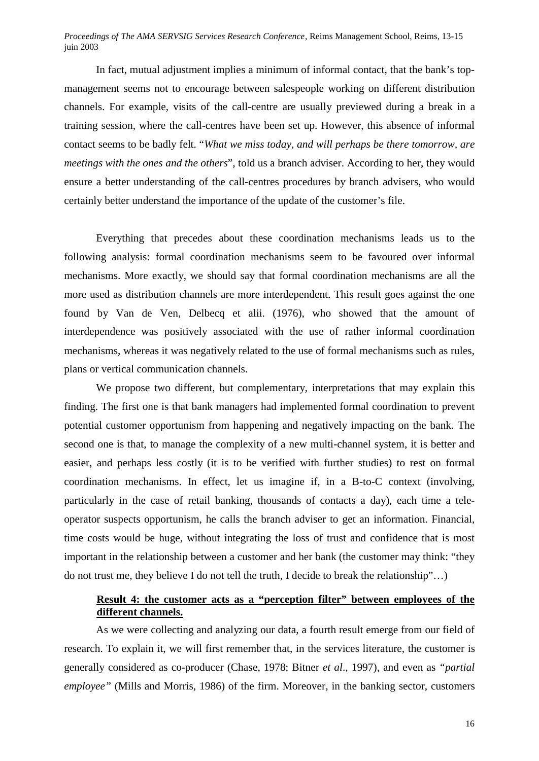In fact, mutual adjustment implies a minimum of informal contact, that the bank's topmanagement seems not to encourage between salespeople working on different distribution channels. For example, visits of the call-centre are usually previewed during a break in a training session, where the call-centres have been set up. However, this absence of informal contact seems to be badly felt. "*What we miss today, and will perhaps be there tomorrow, are meetings with the ones and the others*", told us a branch adviser. According to her, they would ensure a better understanding of the call-centres procedures by branch advisers, who would certainly better understand the importance of the update of the customer's file.

Everything that precedes about these coordination mechanisms leads us to the following analysis: formal coordination mechanisms seem to be favoured over informal mechanisms. More exactly, we should say that formal coordination mechanisms are all the more used as distribution channels are more interdependent. This result goes against the one found by Van de Ven, Delbecq et alii. (1976), who showed that the amount of interdependence was positively associated with the use of rather informal coordination mechanisms, whereas it was negatively related to the use of formal mechanisms such as rules, plans or vertical communication channels.

We propose two different, but complementary, interpretations that may explain this finding. The first one is that bank managers had implemented formal coordination to prevent potential customer opportunism from happening and negatively impacting on the bank. The second one is that, to manage the complexity of a new multi-channel system, it is better and easier, and perhaps less costly (it is to be verified with further studies) to rest on formal coordination mechanisms. In effect, let us imagine if, in a B-to-C context (involving, particularly in the case of retail banking, thousands of contacts a day), each time a teleoperator suspects opportunism, he calls the branch adviser to get an information. Financial, time costs would be huge, without integrating the loss of trust and confidence that is most important in the relationship between a customer and her bank (the customer may think: "they do not trust me, they believe I do not tell the truth, I decide to break the relationship"…)

# **Result 4: the customer acts as a "perception filter" between employees of the different channels.**

As we were collecting and analyzing our data, a fourth result emerge from our field of research. To explain it, we will first remember that, in the services literature, the customer is generally considered as co-producer (Chase, 1978; Bitner *et al*., 1997), and even as *"partial employee"* (Mills and Morris, 1986) of the firm. Moreover, in the banking sector, customers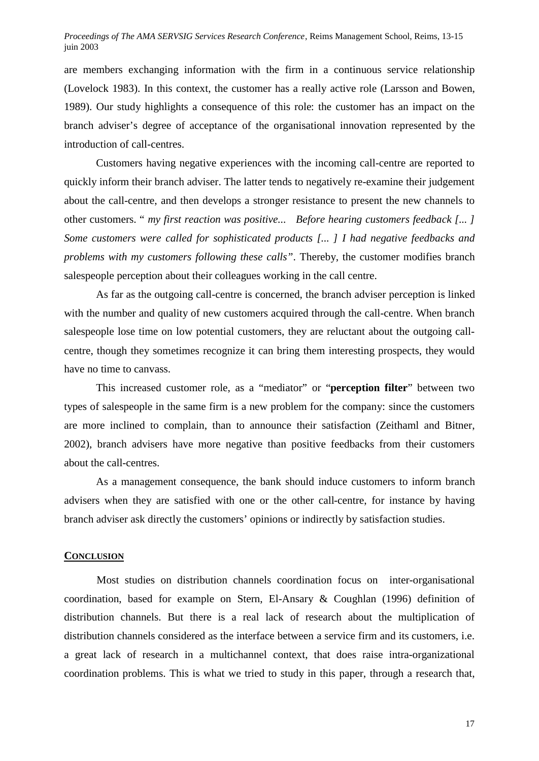are members exchanging information with the firm in a continuous service relationship (Lovelock 1983). In this context, the customer has a really active role (Larsson and Bowen, 1989). Our study highlights a consequence of this role: the customer has an impact on the branch adviser's degree of acceptance of the organisational innovation represented by the introduction of call-centres.

Customers having negative experiences with the incoming call-centre are reported to quickly inform their branch adviser. The latter tends to negatively re-examine their judgement about the call-centre, and then develops a stronger resistance to present the new channels to other customers. " *my first reaction was positive... Before hearing customers feedback [... ] Some customers were called for sophisticated products [... ] I had negative feedbacks and problems with my customers following these calls"*. Thereby, the customer modifies branch salespeople perception about their colleagues working in the call centre.

As far as the outgoing call-centre is concerned, the branch adviser perception is linked with the number and quality of new customers acquired through the call-centre. When branch salespeople lose time on low potential customers, they are reluctant about the outgoing callcentre, though they sometimes recognize it can bring them interesting prospects, they would have no time to canvass.

This increased customer role, as a "mediator" or "**perception filter**" between two types of salespeople in the same firm is a new problem for the company: since the customers are more inclined to complain, than to announce their satisfaction (Zeithaml and Bitner, 2002), branch advisers have more negative than positive feedbacks from their customers about the call-centres.

As a management consequence, the bank should induce customers to inform branch advisers when they are satisfied with one or the other call-centre, for instance by having branch adviser ask directly the customers' opinions or indirectly by satisfaction studies.

#### **CONCLUSION**

Most studies on distribution channels coordination focus on inter-organisational coordination, based for example on Stern, El-Ansary & Coughlan (1996) definition of distribution channels. But there is a real lack of research about the multiplication of distribution channels considered as the interface between a service firm and its customers, i.e. a great lack of research in a multichannel context, that does raise intra-organizational coordination problems. This is what we tried to study in this paper, through a research that,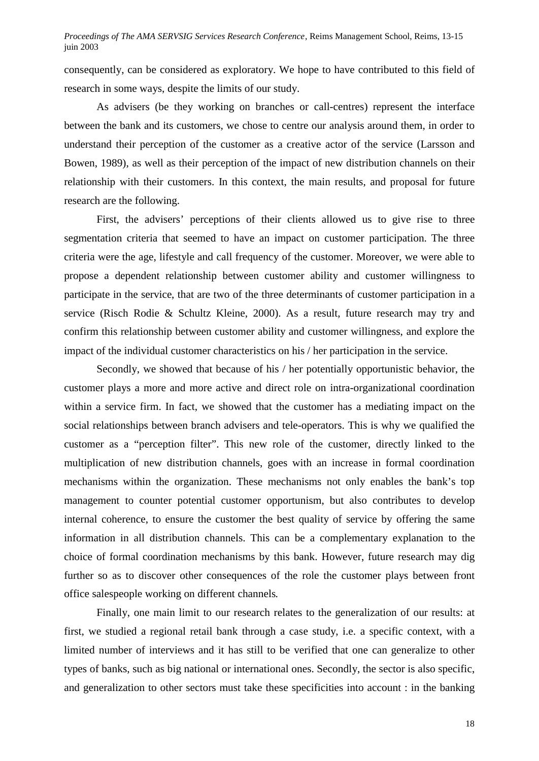consequently, can be considered as exploratory. We hope to have contributed to this field of research in some ways, despite the limits of our study.

As advisers (be they working on branches or call-centres) represent the interface between the bank and its customers, we chose to centre our analysis around them, in order to understand their perception of the customer as a creative actor of the service (Larsson and Bowen, 1989), as well as their perception of the impact of new distribution channels on their relationship with their customers. In this context, the main results, and proposal for future research are the following.

First, the advisers' perceptions of their clients allowed us to give rise to three segmentation criteria that seemed to have an impact on customer participation. The three criteria were the age, lifestyle and call frequency of the customer. Moreover, we were able to propose a dependent relationship between customer ability and customer willingness to participate in the service, that are two of the three determinants of customer participation in a service (Risch Rodie & Schultz Kleine, 2000). As a result, future research may try and confirm this relationship between customer ability and customer willingness, and explore the impact of the individual customer characteristics on his / her participation in the service.

Secondly, we showed that because of his / her potentially opportunistic behavior, the customer plays a more and more active and direct role on intra-organizational coordination within a service firm. In fact, we showed that the customer has a mediating impact on the social relationships between branch advisers and tele-operators. This is why we qualified the customer as a "perception filter". This new role of the customer, directly linked to the multiplication of new distribution channels, goes with an increase in formal coordination mechanisms within the organization. These mechanisms not only enables the bank's top management to counter potential customer opportunism, but also contributes to develop internal coherence, to ensure the customer the best quality of service by offering the same information in all distribution channels. This can be a complementary explanation to the choice of formal coordination mechanisms by this bank. However, future research may dig further so as to discover other consequences of the role the customer plays between front office salespeople working on different channels.

Finally, one main limit to our research relates to the generalization of our results: at first, we studied a regional retail bank through a case study, i.e. a specific context, with a limited number of interviews and it has still to be verified that one can generalize to other types of banks, such as big national or international ones. Secondly, the sector is also specific, and generalization to other sectors must take these specificities into account : in the banking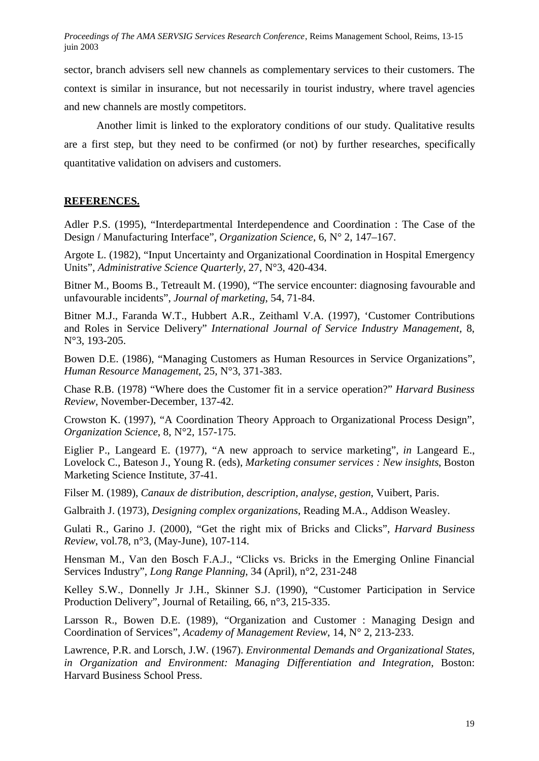sector, branch advisers sell new channels as complementary services to their customers. The context is similar in insurance, but not necessarily in tourist industry, where travel agencies and new channels are mostly competitors.

Another limit is linked to the exploratory conditions of our study. Qualitative results are a first step, but they need to be confirmed (or not) by further researches, specifically quantitative validation on advisers and customers.

# **REFERENCES.**

Adler P.S. (1995), "Interdepartmental Interdependence and Coordination : The Case of the Design / Manufacturing Interface", *Organization Science*, 6, N° 2, 147–167.

Argote L. (1982), "Input Uncertainty and Organizational Coordination in Hospital Emergency Units", *Administrative Science Quarterly*, 27, N°3, 420-434.

Bitner M., Booms B., Tetreault M. (1990), "The service encounter: diagnosing favourable and unfavourable incidents", *Journal of marketing*, 54, 71-84.

Bitner M.J., Faranda W.T., Hubbert A.R., Zeithaml V.A. (1997), 'Customer Contributions and Roles in Service Delivery" *International Journal of Service Industry Management,* 8, N°3, 193-205.

Bowen D.E. (1986), "Managing Customers as Human Resources in Service Organizations", *Human Resource Management*, 25, N°3, 371-383.

Chase R.B. (1978) "Where does the Customer fit in a service operation?" *Harvard Business Review,* November-December, 137-42.

Crowston K. (1997), "A Coordination Theory Approach to Organizational Process Design", *Organization Science*, 8, N°2, 157-175.

Eiglier P., Langeard E. (1977), "A new approach to service marketing", *in* Langeard E., Lovelock C., Bateson J., Young R. (eds), *Marketing consumer services : New insights*, Boston Marketing Science Institute, 37-41.

Filser M. (1989), *Canaux de distribution, description, analyse, gestion*, Vuibert, Paris.

Galbraith J. (1973), *Designing complex organizations*, Reading M.A., Addison Weasley.

Gulati R., Garino J. (2000), "Get the right mix of Bricks and Clicks", *Harvard Business Review*, vol.78, n°3, (May-June), 107-114.

Hensman M., Van den Bosch F.A.J., "Clicks vs. Bricks in the Emerging Online Financial Services Industry", *Long Range Planning*, 34 (April), n°2, 231-248

Kelley S.W., Donnelly Jr J.H., Skinner S.J. (1990), "Customer Participation in Service Production Delivery", Journal of Retailing, 66, n°3, 215-335.

Larsson R., Bowen D.E. (1989), "Organization and Customer : Managing Design and Coordination of Services", *Academy of Management Review*, 14, N° 2, 213-233.

Lawrence, P.R. and Lorsch, J.W. (1967). *Environmental Demands and Organizational States, in Organization and Environment: Managing Differentiation and Integration,* Boston: Harvard Business School Press.